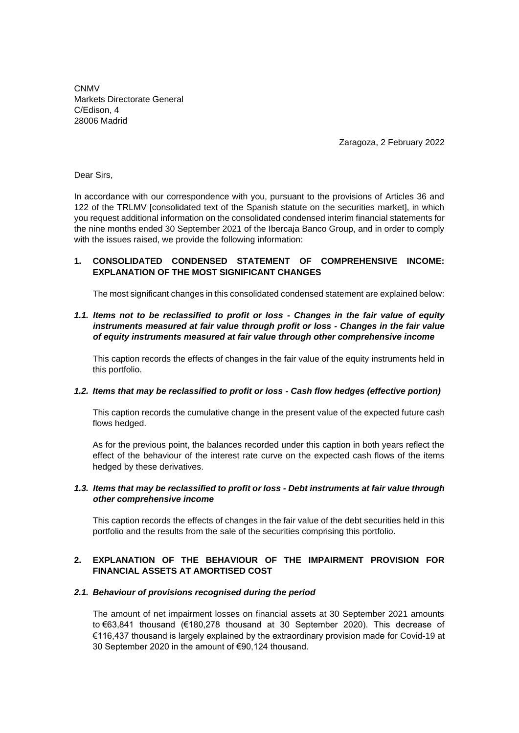**CNMV** Markets Directorate General C/Edison, 4 28006 Madrid

Zaragoza, 2 February 2022

Dear Sirs,

In accordance with our correspondence with you, pursuant to the provisions of Articles 36 and 122 of the TRLMV [consolidated text of the Spanish statute on the securities market], in which you request additional information on the consolidated condensed interim financial statements for the nine months ended 30 September 2021 of the Ibercaja Banco Group, and in order to comply with the issues raised, we provide the following information:

## **1. CONSOLIDATED CONDENSED STATEMENT OF COMPREHENSIVE INCOME: EXPLANATION OF THE MOST SIGNIFICANT CHANGES**

The most significant changes in this consolidated condensed statement are explained below:

# *1.1. Items not to be reclassified to profit or loss - Changes in the fair value of equity instruments measured at fair value through profit or loss - Changes in the fair value of equity instruments measured at fair value through other comprehensive income*

This caption records the effects of changes in the fair value of the equity instruments held in this portfolio.

#### *1.2. Items that may be reclassified to profit or loss - Cash flow hedges (effective portion)*

This caption records the cumulative change in the present value of the expected future cash flows hedged.

As for the previous point, the balances recorded under this caption in both years reflect the effect of the behaviour of the interest rate curve on the expected cash flows of the items hedged by these derivatives.

#### *1.3. Items that may be reclassified to profit or loss - Debt instruments at fair value through other comprehensive income*

This caption records the effects of changes in the fair value of the debt securities held in this portfolio and the results from the sale of the securities comprising this portfolio.

## **2. EXPLANATION OF THE BEHAVIOUR OF THE IMPAIRMENT PROVISION FOR FINANCIAL ASSETS AT AMORTISED COST**

## *2.1. Behaviour of provisions recognised during the period*

The amount of net impairment losses on financial assets at 30 September 2021 amounts to €63,841 thousand (€180,278 thousand at 30 September 2020). This decrease of €116,437 thousand is largely explained by the extraordinary provision made for Covid-19 at 30 September 2020 in the amount of €90,124 thousand.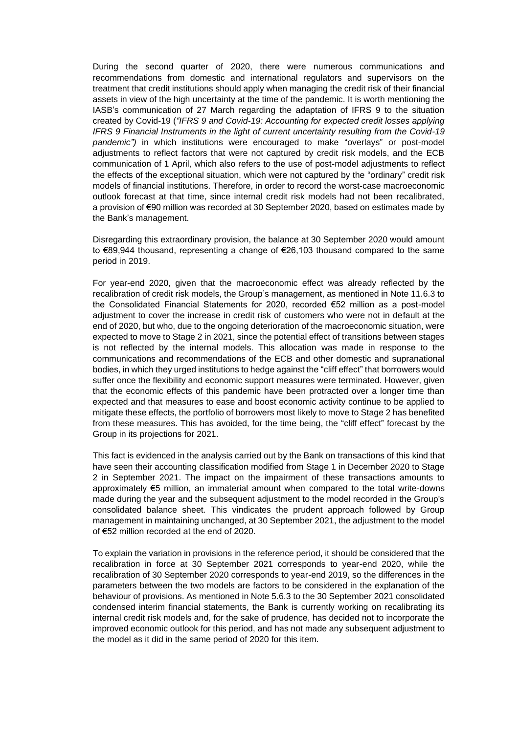During the second quarter of 2020, there were numerous communications and recommendations from domestic and international regulators and supervisors on the treatment that credit institutions should apply when managing the credit risk of their financial assets in view of the high uncertainty at the time of the pandemic. It is worth mentioning the IASB's communication of 27 March regarding the adaptation of IFRS 9 to the situation created by Covid-19 (*"IFRS 9 and Covid-19: Accounting for expected credit losses applying IFRS 9 Financial Instruments in the light of current uncertainty resulting from the Covid-19 pandemic")* in which institutions were encouraged to make "overlays" or post-model adjustments to reflect factors that were not captured by credit risk models, and the ECB communication of 1 April, which also refers to the use of post-model adjustments to reflect the effects of the exceptional situation, which were not captured by the "ordinary" credit risk models of financial institutions. Therefore, in order to record the worst-case macroeconomic outlook forecast at that time, since internal credit risk models had not been recalibrated, a provision of €90 million was recorded at 30 September 2020, based on estimates made by the Bank's management.

Disregarding this extraordinary provision, the balance at 30 September 2020 would amount to €89,944 thousand, representing a change of €26,103 thousand compared to the same period in 2019.

For year-end 2020, given that the macroeconomic effect was already reflected by the recalibration of credit risk models, the Group's management, as mentioned in Note 11.6.3 to the Consolidated Financial Statements for 2020, recorded €52 million as a post-model adjustment to cover the increase in credit risk of customers who were not in default at the end of 2020, but who, due to the ongoing deterioration of the macroeconomic situation, were expected to move to Stage 2 in 2021, since the potential effect of transitions between stages is not reflected by the internal models. This allocation was made in response to the communications and recommendations of the ECB and other domestic and supranational bodies, in which they urged institutions to hedge against the "cliff effect" that borrowers would suffer once the flexibility and economic support measures were terminated. However, given that the economic effects of this pandemic have been protracted over a longer time than expected and that measures to ease and boost economic activity continue to be applied to mitigate these effects, the portfolio of borrowers most likely to move to Stage 2 has benefited from these measures. This has avoided, for the time being, the "cliff effect" forecast by the Group in its projections for 2021.

This fact is evidenced in the analysis carried out by the Bank on transactions of this kind that have seen their accounting classification modified from Stage 1 in December 2020 to Stage 2 in September 2021. The impact on the impairment of these transactions amounts to approximately €5 million, an immaterial amount when compared to the total write-downs made during the year and the subsequent adjustment to the model recorded in the Group's consolidated balance sheet. This vindicates the prudent approach followed by Group management in maintaining unchanged, at 30 September 2021, the adjustment to the model of €52 million recorded at the end of 2020.

To explain the variation in provisions in the reference period, it should be considered that the recalibration in force at 30 September 2021 corresponds to year-end 2020, while the recalibration of 30 September 2020 corresponds to year-end 2019, so the differences in the parameters between the two models are factors to be considered in the explanation of the behaviour of provisions. As mentioned in Note 5.6.3 to the 30 September 2021 consolidated condensed interim financial statements, the Bank is currently working on recalibrating its internal credit risk models and, for the sake of prudence, has decided not to incorporate the improved economic outlook for this period, and has not made any subsequent adjustment to the model as it did in the same period of 2020 for this item.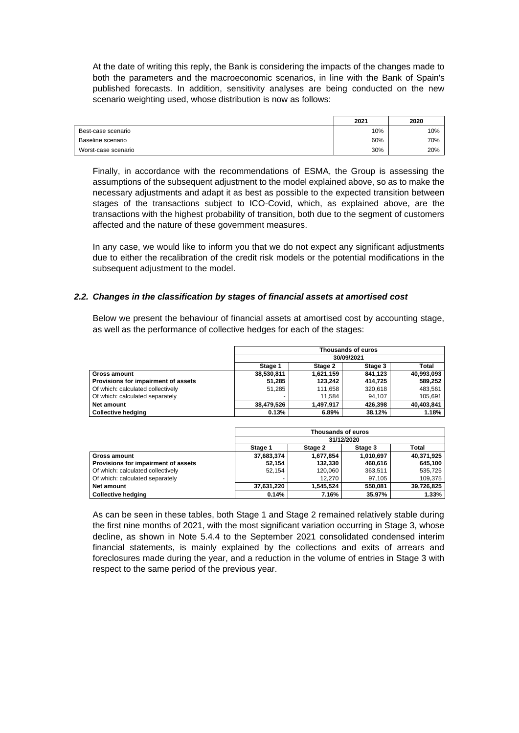At the date of writing this reply, the Bank is considering the impacts of the changes made to both the parameters and the macroeconomic scenarios, in line with the Bank of Spain's published forecasts. In addition, sensitivity analyses are being conducted on the new scenario weighting used, whose distribution is now as follows:

|                     | 2021 | 2020 |
|---------------------|------|------|
| Best-case scenario  | 10%  | 10%  |
| Baseline scenario   | 60%  | 70%  |
| Worst-case scenario | 30%  | 20%  |

Finally, in accordance with the recommendations of ESMA, the Group is assessing the assumptions of the subsequent adjustment to the model explained above, so as to make the necessary adjustments and adapt it as best as possible to the expected transition between stages of the transactions subject to ICO-Covid, which, as explained above, are the transactions with the highest probability of transition, both due to the segment of customers affected and the nature of these government measures.

In any case, we would like to inform you that we do not expect any significant adjustments due to either the recalibration of the credit risk models or the potential modifications in the subsequent adjustment to the model.

#### *2.2. Changes in the classification by stages of financial assets at amortised cost*

Below we present the behaviour of financial assets at amortised cost by accounting stage, as well as the performance of collective hedges for each of the stages:

|                                     | Thousands of euros |           |         |            |  |
|-------------------------------------|--------------------|-----------|---------|------------|--|
|                                     | 30/09/2021         |           |         |            |  |
|                                     | Stage 1            | Stage 2   | Stage 3 | Total      |  |
| Gross amount                        | 38,530,811         | 1,621,159 | 841.123 | 40,993,093 |  |
| Provisions for impairment of assets | 51,285             | 123.242   | 414.725 | 589.252    |  |
| Of which: calculated collectively   | 51,285             | 111,658   | 320,618 | 483,561    |  |
| Of which: calculated separately     |                    | 11.584    | 94.107  | 105.691    |  |
| Net amount                          | 38,479,526         | 1.497.917 | 426,398 | 40,403,841 |  |
| <b>Collective hedaina</b>           | 0.13%              | 6.89%     | 38.12%  | 1.18%      |  |

|                                     | Thousands of euros |           |           |              |
|-------------------------------------|--------------------|-----------|-----------|--------------|
|                                     | 31/12/2020         |           |           |              |
|                                     | Stage 1            | Stage 2   | Stage 3   | <b>Total</b> |
| Gross amount                        | 37,683,374         | 1,677,854 | 1,010,697 | 40,371,925   |
| Provisions for impairment of assets | 52.154             | 132,330   | 460.616   | 645.100      |
| Of which: calculated collectively   | 52.154             | 120,060   | 363,511   | 535,725      |
| Of which: calculated separately     |                    | 12.270    | 97.105    | 109,375      |
| Net amount                          | 37,631,220         | 1.545.524 | 550.081   | 39,726,825   |
| <b>Collective hedging</b>           | 0.14%              | 7.16%     | 35.97%    | 1.33%        |

As can be seen in these tables, both Stage 1 and Stage 2 remained relatively stable during the first nine months of 2021, with the most significant variation occurring in Stage 3, whose decline, as shown in Note 5.4.4 to the September 2021 consolidated condensed interim financial statements, is mainly explained by the collections and exits of arrears and foreclosures made during the year, and a reduction in the volume of entries in Stage 3 with respect to the same period of the previous year.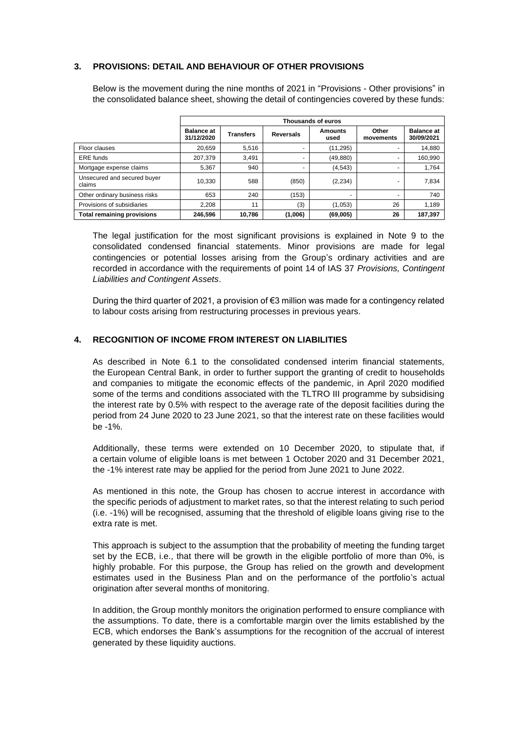## **3. PROVISIONS: DETAIL AND BEHAVIOUR OF OTHER PROVISIONS**

Below is the movement during the nine months of 2021 in "Provisions - Other provisions" in the consolidated balance sheet, showing the detail of contingencies covered by these funds:

|                                       | Thousands of euros              |                  |                  |                        |                    |                                 |
|---------------------------------------|---------------------------------|------------------|------------------|------------------------|--------------------|---------------------------------|
|                                       | <b>Balance at</b><br>31/12/2020 | <b>Transfers</b> | <b>Reversals</b> | <b>Amounts</b><br>used | Other<br>movements | <b>Balance at</b><br>30/09/2021 |
| Floor clauses                         | 20.659                          | 5.516            |                  | (11, 295)              |                    | 14,880                          |
| ERE funds                             | 207,379                         | 3.491            | -                | (49,880)               |                    | 160,990                         |
| Mortgage expense claims               | 5,367                           | 940              | -                | (4, 543)               |                    | 1,764                           |
| Unsecured and secured buyer<br>claims | 10,330                          | 588              | (850)            | (2, 234)               |                    | 7,834                           |
| Other ordinary business risks         | 653                             | 240              | (153)            |                        |                    | 740                             |
| Provisions of subsidiaries            | 2.208                           | 11               | (3)              | (1,053)                | 26                 | 1.189                           |
| <b>Total remaining provisions</b>     | 246.596                         | 10.786           | (1,006)          | (69,005)               | 26                 | 187.397                         |

The legal justification for the most significant provisions is explained in Note 9 to the consolidated condensed financial statements. Minor provisions are made for legal contingencies or potential losses arising from the Group's ordinary activities and are recorded in accordance with the requirements of point 14 of IAS 37 *Provisions, Contingent Liabilities and Contingent Assets*.

During the third quarter of 2021, a provision of €3 million was made for a contingency related to labour costs arising from restructuring processes in previous years.

## **4. RECOGNITION OF INCOME FROM INTEREST ON LIABILITIES**

As described in Note 6.1 to the consolidated condensed interim financial statements, the European Central Bank, in order to further support the granting of credit to households and companies to mitigate the economic effects of the pandemic, in April 2020 modified some of the terms and conditions associated with the TLTRO III programme by subsidising the interest rate by 0.5% with respect to the average rate of the deposit facilities during the period from 24 June 2020 to 23 June 2021, so that the interest rate on these facilities would be -1%.

Additionally, these terms were extended on 10 December 2020, to stipulate that, if a certain volume of eligible loans is met between 1 October 2020 and 31 December 2021, the -1% interest rate may be applied for the period from June 2021 to June 2022.

As mentioned in this note, the Group has chosen to accrue interest in accordance with the specific periods of adjustment to market rates, so that the interest relating to such period (i.e. -1%) will be recognised, assuming that the threshold of eligible loans giving rise to the extra rate is met.

This approach is subject to the assumption that the probability of meeting the funding target set by the ECB, i.e., that there will be growth in the eligible portfolio of more than 0%, is highly probable. For this purpose, the Group has relied on the growth and development estimates used in the Business Plan and on the performance of the portfolio's actual origination after several months of monitoring.

In addition, the Group monthly monitors the origination performed to ensure compliance with the assumptions. To date, there is a comfortable margin over the limits established by the ECB, which endorses the Bank's assumptions for the recognition of the accrual of interest generated by these liquidity auctions.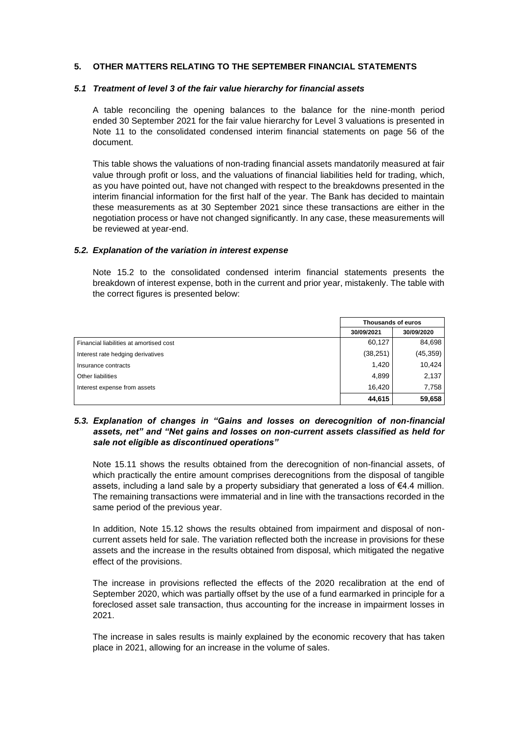#### **5. OTHER MATTERS RELATING TO THE SEPTEMBER FINANCIAL STATEMENTS**

#### *5.1 Treatment of level 3 of the fair value hierarchy for financial assets*

A table reconciling the opening balances to the balance for the nine-month period ended 30 September 2021 for the fair value hierarchy for Level 3 valuations is presented in Note 11 to the consolidated condensed interim financial statements on page 56 of the document.

This table shows the valuations of non-trading financial assets mandatorily measured at fair value through profit or loss, and the valuations of financial liabilities held for trading, which, as you have pointed out, have not changed with respect to the breakdowns presented in the interim financial information for the first half of the year. The Bank has decided to maintain these measurements as at 30 September 2021 since these transactions are either in the negotiation process or have not changed significantly. In any case, these measurements will be reviewed at year-end.

#### *5.2. Explanation of the variation in interest expense*

Note 15.2 to the consolidated condensed interim financial statements presents the breakdown of interest expense, both in the current and prior year, mistakenly. The table with the correct figures is presented below:

|                                         | Thousands of euros |            |  |
|-----------------------------------------|--------------------|------------|--|
|                                         | 30/09/2021         | 30/09/2020 |  |
| Financial liabilities at amortised cost | 60.127             | 84,698     |  |
| Interest rate hedging derivatives       | (38, 251)          | (45, 359)  |  |
| Insurance contracts                     | 1,420              | 10,424     |  |
| Other liabilities                       | 4,899              | 2,137      |  |
| Interest expense from assets            | 16.420             | 7,758      |  |
|                                         | 44,615             | 59,658     |  |

## *5.3. Explanation of changes in "Gains and losses on derecognition of non-financial assets, net" and "Net gains and losses on non-current assets classified as held for sale not eligible as discontinued operations"*

Note 15.11 shows the results obtained from the derecognition of non-financial assets, of which practically the entire amount comprises derecognitions from the disposal of tangible assets, including a land sale by a property subsidiary that generated a loss of  $\epsilon$ 4.4 million. The remaining transactions were immaterial and in line with the transactions recorded in the same period of the previous year.

In addition, Note 15.12 shows the results obtained from impairment and disposal of noncurrent assets held for sale. The variation reflected both the increase in provisions for these assets and the increase in the results obtained from disposal, which mitigated the negative effect of the provisions.

The increase in provisions reflected the effects of the 2020 recalibration at the end of September 2020, which was partially offset by the use of a fund earmarked in principle for a foreclosed asset sale transaction, thus accounting for the increase in impairment losses in 2021.

The increase in sales results is mainly explained by the economic recovery that has taken place in 2021, allowing for an increase in the volume of sales.